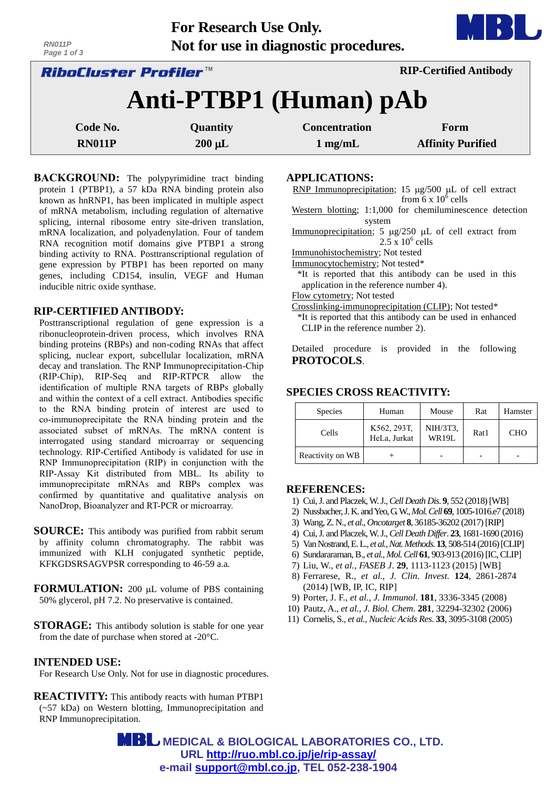| Not for use in diagnostic procedures.<br>RN011P<br>Page 1 of 3 |                 |                      |                               |  |  |  |
|----------------------------------------------------------------|-----------------|----------------------|-------------------------------|--|--|--|
| <i>RiboCluster Profiler™</i>                                   |                 |                      | <b>RIP-Certified Antibody</b> |  |  |  |
| Anti-PTBP1 (Human) pAb                                         |                 |                      |                               |  |  |  |
| Code No.                                                       | <b>Quantity</b> | <b>Concentration</b> | Form                          |  |  |  |
| <b>RN011P</b>                                                  | $200 \mu L$     | $1 \text{ mg/mL}$    | <b>Affinity Purified</b>      |  |  |  |

**For Research Use Only.**

**BACKGROUND:** The polypyrimidine tract binding protein 1 (PTBP1), a 57 kDa RNA binding protein also known as hnRNP1, has been implicated in multiple aspect of mRNA metabolism, including regulation of alternative splicing, internal ribosome entry site-driven translation, mRNA localization, and polyadenylation. Four of tandem RNA recognition motif domains give PTBP1 a strong binding activity to RNA. Posttranscriptional regulation of gene expression by PTBP1 has been reported on many genes, including CD154, insulin, VEGF and Human inducible nitric oxide synthase.

## **RIP-CERTIFIED ANTIBODY:**

Posttranscriptional regulation of gene expression is a ribonucleoprotein-driven process, which involves RNA binding proteins (RBPs) and non-coding RNAs that affect splicing, nuclear export, subcellular localization, mRNA decay and translation. The RNP Immunoprecipitation-Chip (RIP-Chip), RIP-Seq and RIP-RTPCR allow the identification of multiple RNA targets of RBPs globally and within the context of a cell extract. Antibodies specific to the RNA binding protein of interest are used to co-immunoprecipitate the RNA binding protein and the associated subset of mRNAs. The mRNA content is interrogated using standard microarray or sequencing technology. RIP-Certified Antibody is validated for use in RNP Immunoprecipitation (RIP) in conjunction with the RIP-Assay Kit distributed from MBL. Its ability to immunoprecipitate mRNAs and RBPs complex was confirmed by quantitative and qualitative analysis on NanoDrop, Bioanalyzer and RT-PCR or microarray.

- **SOURCE:** This antibody was purified from rabbit serum by affinity column chromatography. The rabbit was immunized with KLH conjugated synthetic peptide, KFKGDSRSAGVPSR corresponding to 46-59 a.a.
- **FORMULATION:** 200 µL volume of PBS containing 50% glycerol, pH 7.2. No preservative is contained.
- **STORAGE:** This antibody solution is stable for one year from the date of purchase when stored at -20°C.

## **INTENDED USE:**

For Research Use Only. Not for use in diagnostic procedures.

**REACTIVITY:** This antibody reacts with human PTBP1 (~57 kDa) on Western blotting, Immunoprecipitation and RNP Immunoprecipitation.

**APPLICATIONS:** 

RNP Immunoprecipitation; 15  $\mu$ g/500  $\mu$ L of cell extract from  $6 \times 10^6$  cells

Western blotting; 1:1,000 for chemiluminescence detection system

Immunoprecipitation; 5  $\mu$ g/250  $\mu$ L of cell extract from  $2.5 \times 10^6$  cells

Immunohistochemistry; Not tested

Immunocytochemistry; Not tested\*

\*It is reported that this antibody can be used in this application in the reference number 4).

Flow cytometry; Not tested

Crosslinking-immunoprecipitation (CLIP); Not tested\*

\*It is reported that this antibody can be used in enhanced CLIP in the reference number 2).

Detailed procedure is provided in the following **PROTOCOLS**.

## **SPECIES CROSS REACTIVITY:**

| <b>Species</b>   | Human                       | Mouse             | Rat  | Hamster    |
|------------------|-----------------------------|-------------------|------|------------|
| Cells            | K562, 293T.<br>HeLa, Jurkat | NIH/3T3,<br>WR19L | Rat1 | <b>CHO</b> |
| Reactivity on WB |                             |                   |      |            |

### **REFERENCES:**

- 1) Cui, J. and Placzek, W. J., *Cell Death Dis*. **9**, 552 (2018) [WB]
- 2) Nussbacher, J. K. and Yeo, G. W., *Mol. Cell* **69**, 1005-1016.e7 (2018)
- 3) Wang, Z. N., *et al., Oncotarget* **8**, 36185-36202 (2017) [RIP]
- 4) Cui, J. and Placzek, W. J., *Cell Death Differ*. **23**, 1681-1690 (2016)
- 5) Van Nostrand,E. L., *et al.,Nat.Methods*. **13**, 508-514 (2016)[CLIP]
- 6) Sundararaman, B., *et al., Mol. Cell* **61**, 903-913 (2016) [IC, CLIP]
- 7) Liu, W., *et al., FASEB J*. **29**, 1113-1123 (2015) [WB]
- 8) Ferrarese, R., *et al., J. Clin. Invest.* **124**, 2861-2874 (2014) [WB, IP, IC, RIP]
- 9) Porter, J. F., *et al., J. Immunol*. **181**, 3336-3345 (2008)
- 10) Pautz, A., *et al., J. Biol. Chem*. **281**, 32294-32302 (2006)
- 11) Cornelis, S., *et al., Nucleic Acids Res*. **33**, 3095-3108 (2005)

 **MEDICAL & BIOLOGICAL LABORATORIES CO., LTD. URL [http://ruo.mbl.co.jp/je/rip-assay/](https://ruo.mbl.co.jp/je/rip-assay/) e-mail [support@mbl.co.jp,](mailto:support@mbl.co.jp) TEL 052-238-1904**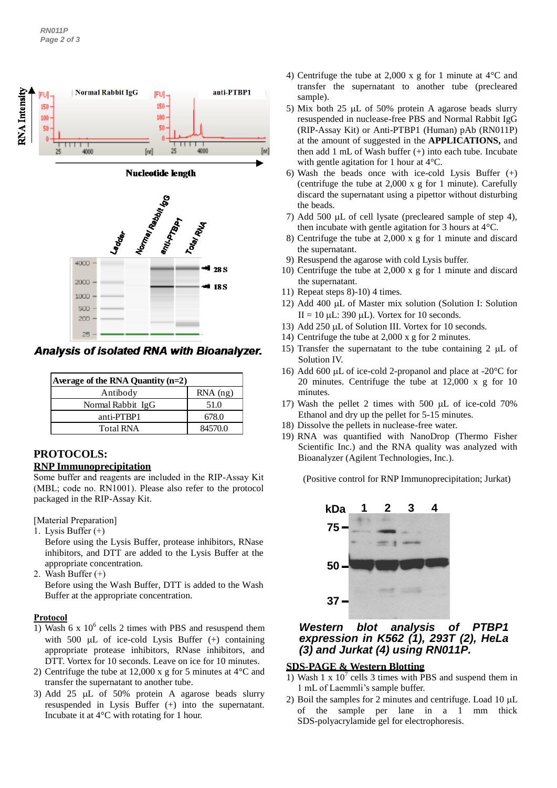

Analysis of isolated RNA with Bioanalyzer.

| Average of the RNA Quantity $(n=2)$ |            |  |
|-------------------------------------|------------|--|
| Antibody                            | $RNA$ (ng) |  |
| Normal Rabbit IgG                   | 51.0       |  |
| anti-PTBP1                          | 678.0      |  |
| <b>Total RNA</b>                    | 84570.0    |  |

### **PROTOCOLS: RNP Immunoprecipitation**

Some buffer and reagents are included in the RIP-Assay Kit (MBL; code no. RN1001). Please also refer to the protocol packaged in the RIP-Assay Kit.

[Material Preparation]

1. Lysis Buffer (+)

Before using the Lysis Buffer, protease inhibitors, RNase inhibitors, and DTT are added to the Lysis Buffer at the appropriate concentration.

2. Wash Buffer (+)

Before using the Wash Buffer, DTT is added to the Wash Buffer at the appropriate concentration.

## **Protocol**

- 1) Wash 6 x  $10^6$  cells 2 times with PBS and resuspend them with 500  $\mu$ L of ice-cold Lysis Buffer (+) containing appropriate protease inhibitors, RNase inhibitors, and DTT. Vortex for 10 seconds. Leave on ice for 10 minutes.
- 2) Centrifuge the tube at 12,000 x g for 5 minutes at 4°C and transfer the supernatant to another tube.
- 3) Add 25  $\mu$ L of 50% protein A agarose beads slurry resuspended in Lysis Buffer (+) into the supernatant. Incubate it at 4°C with rotating for 1 hour.
- 4) Centrifuge the tube at 2,000 x g for 1 minute at 4°C and transfer the supernatant to another tube (precleared sample).
- 5) Mix both 25  $\mu$ L of 50% protein A agarose beads slurry resuspended in nuclease-free PBS and Normal Rabbit IgG (RIP-Assay Kit) or Anti-PTBP1 (Human) pAb (RN011P) at the amount of suggested in the **APPLICATIONS,** and then add 1 mL of Wash buffer (+) into each tube. Incubate with gentle agitation for 1 hour at 4°C.
- 6) Wash the beads once with ice-cold Lysis Buffer (+) (centrifuge the tube at 2,000 x g for 1 minute). Carefully discard the supernatant using a pipettor without disturbing the beads.
- 7) Add 500  $\mu$ L of cell lysate (precleared sample of step 4), then incubate with gentle agitation for 3 hours at 4°C.
- 8) Centrifuge the tube at 2,000 x g for 1 minute and discard the supernatant.
- 9) Resuspend the agarose with cold Lysis buffer.
- 10) Centrifuge the tube at 2,000 x g for 1 minute and discard the supernatant.
- 11) Repeat steps 8)-10) 4 times.
- 12) Add 400 µL of Master mix solution (Solution I: Solution  $II = 10$  uL: 390 uL). Vortex for 10 seconds.
- 13) Add 250 µL of Solution III. Vortex for 10 seconds.
- 14) Centrifuge the tube at 2,000 x g for 2 minutes.
- 15) Transfer the supernatant to the tube containing  $2 \mu L$  of Solution IV.
- 16) Add 600  $\mu$ L of ice-cold 2-propanol and place at -20 $\degree$ C for 20 minutes. Centrifuge the tube at 12,000 x g for 10 minutes.
- 17) Wash the pellet 2 times with 500  $\mu$ L of ice-cold 70% Ethanol and dry up the pellet for 5-15 minutes.
- 18) Dissolve the pellets in nuclease-free water.
- 19) RNA was quantified with NanoDrop (Thermo Fisher Scientific Inc.) and the RNA quality was analyzed with Bioanalyzer (Agilent Technologies, Inc.).

(Positive control for RNP Immunoprecipitation; Jurkat)



# *Western blot analysis of PTBP1 expression in K562 (1), 293T (2), HeLa (3) and Jurkat (4) using RN011P.*

# **SDS-PAGE & Western Blotting**

- 1) Wash 1 x  $10^7$  cells 3 times with PBS and suspend them in 1 mL of Laemmli's sample buffer.
- 2) Boil the samples for 2 minutes and centrifuge. Load  $10 \mu L$ of the sample per lane in a 1 mm thick SDS-polyacrylamide gel for electrophoresis.